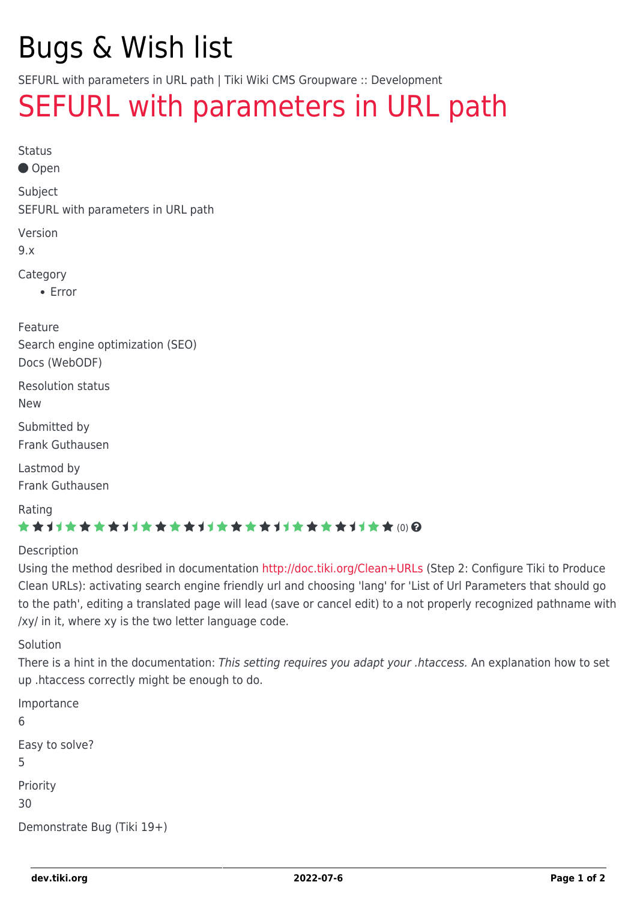# Bugs & Wish list

SEFURL with parameters in URL path | Tiki Wiki CMS Groupware :: Development

## [SEFURL with parameters in URL path](https://dev.tiki.org/item4340-SEFURL-with-parameters-in-URL-path)

```
Status
```
● Open

Subject

SEFURL with parameters in URL path

Version

9.x

Category

Error

Feature Search engine optimization (SEO) Docs (WebODF)

Resolution status New

Submitted by Frank Guthausen

Lastmod by Frank Guthausen

Rating

#### \*\*\*\*\*\*\*\*\*\*\*\*\*\*\*\*\*\*\*\*\*\*\*\*\*\*\*\*\*\*

#### Description

Using the method desribed in documentation<http://doc.tiki.org/Clean+URLs>(Step 2: Configure Tiki to Produce Clean URLs): activating search engine friendly url and choosing 'lang' for 'List of Url Parameters that should go to the path', editing a translated page will lead (save or cancel edit) to a not properly recognized pathname with /xy/ in it, where xy is the two letter language code.

Solution

There is a hint in the documentation: This setting requires you adapt your .htaccess. An explanation how to set up .htaccess correctly might be enough to do.

```
Importance
6
Easy to solve?
5
Priority
30
Demonstrate Bug (Tiki 19+)
```